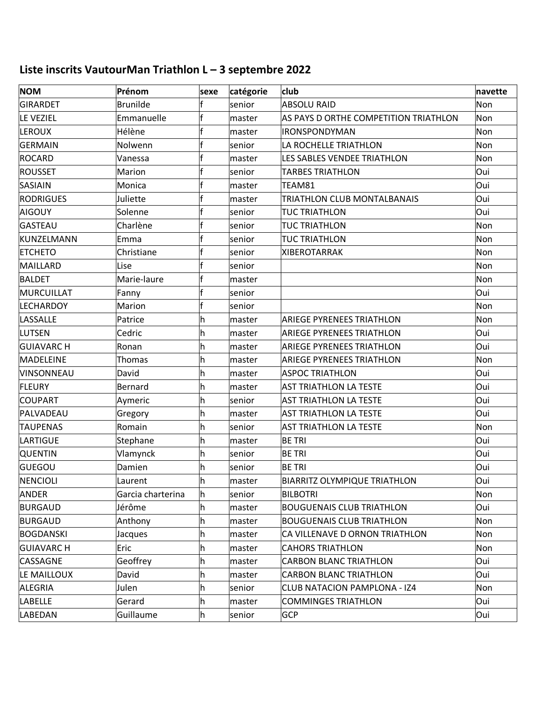## **Liste inscrits VautourMan Triathlon L – 3 septembre 2022**

| <b>NOM</b>        | Prénom            | sexe | catégorie | club                                  | navette |
|-------------------|-------------------|------|-----------|---------------------------------------|---------|
| GIRARDET          | <b>Brunilde</b>   |      | senior    | <b>ABSOLU RAID</b>                    | Non     |
| LE VEZIEL         | Emmanuelle        |      | master    | AS PAYS D ORTHE COMPETITION TRIATHLON | Non     |
| <b>LEROUX</b>     | Hélène            |      | master    | <b>IRONSPONDYMAN</b>                  | Non     |
| GERMAIN           | Nolwenn           |      | senior    | LA ROCHELLE TRIATHLON                 | Non     |
| ROCARD            | Vanessa           |      | master    | LES SABLES VENDEE TRIATHLON           | Non     |
| ROUSSET           | Marion            |      | senior    | <b>TARBES TRIATHLON</b>               | Oui     |
| SASIAIN           | Monica            |      | master    | TEAM81                                | Oui     |
| RODRIGUES         | Juliette          |      | master    | TRIATHLON CLUB MONTALBANAIS           | Oui     |
| AIGOUY            | Solenne           |      | senior    | <b>TUC TRIATHLON</b>                  | Oui     |
| GASTEAU           | Charlène          |      | senior    | <b>TUC TRIATHLON</b>                  | Non     |
| KUNZELMANN        | Emma              |      | senior    | <b>TUC TRIATHLON</b>                  | Non     |
| <b>ETCHETO</b>    | Christiane        |      | senior    | <b>XIBEROTARRAK</b>                   | Non     |
| MAILLARD          | Lise              |      | senior    |                                       | Non     |
| <b>BALDET</b>     | Marie-laure       |      | master    |                                       | Non     |
| MURCUILLAT        | Fanny             |      | senior    |                                       | Oui     |
| <b>LECHARDOY</b>  | Marion            |      | senior    |                                       | Non     |
| LASSALLE          | Patrice           | h    | master    | <b>ARIEGE PYRENEES TRIATHLON</b>      | Non     |
| LUTSEN            | Cedric            | h.   | master    | <b>ARIEGE PYRENEES TRIATHLON</b>      | Oui     |
| <b>GUIAVARC H</b> | Ronan             | h    | master    | <b>ARIEGE PYRENEES TRIATHLON</b>      | Oui     |
| MADELEINE         | Thomas            | h    | master    | <b>ARIEGE PYRENEES TRIATHLON</b>      | Non     |
| VINSONNEAU        | David             | h    | master    | <b>ASPOC TRIATHLON</b>                | Oui     |
| <b>FLEURY</b>     | Bernard           | h.   | master    | <b>AST TRIATHLON LA TESTE</b>         | Oui     |
| COUPART           | Aymeric           | h    | senior    | <b>AST TRIATHLON LA TESTE</b>         | Oui     |
| PALVADEAU         | Gregory           | h.   | master    | <b>AST TRIATHLON LA TESTE</b>         | Oui     |
| <b>TAUPENAS</b>   | Romain            | h    | senior    | <b>AST TRIATHLON LA TESTE</b>         | Non     |
| LARTIGUE          | Stephane          | h    | master    | <b>BE TRI</b>                         | Oui     |
| <b>QUENTIN</b>    | Vlamynck          | h    | senior    | <b>BE TRI</b>                         | Oui     |
| GUEGOU            | Damien            | h    | senior    | <b>BE TRI</b>                         | Oui     |
| NENCIOLI          | Laurent           | ∣n   | master    | <b>BIARRITZ OLYMPIQUE TRIATHLON</b>   | Oui     |
| <b>ANDER</b>      | Garcia charterina | h    | senior    | <b>BILBOTRI</b>                       | Non     |
| <b>BURGAUD</b>    | Jérôme            | h.   | master    | <b>BOUGUENAIS CLUB TRIATHLON</b>      | Oui     |
| <b>BURGAUD</b>    | Anthony           | h    | master    | <b>BOUGUENAIS CLUB TRIATHLON</b>      | Non     |
| BOGDANSKI         | Jacques           | h    | master    | CA VILLENAVE D ORNON TRIATHLON        | Non     |
| <b>GUIAVARCH</b>  | Eric              | h.   | master    | <b>CAHORS TRIATHLON</b>               | Non     |
| CASSAGNE          | Geoffrey          | h.   | master    | <b>CARBON BLANC TRIATHLON</b>         | Oui     |
| LE MAILLOUX       | David             | h.   | master    | <b>CARBON BLANC TRIATHLON</b>         | Oui     |
| ALEGRIA           | Julen             | h.   | senior    | CLUB NATACION PAMPLONA - IZ4          | Non     |
| <b>LABELLE</b>    | Gerard            | h    | master    | <b>COMMINGES TRIATHLON</b>            | Oui     |
| LABEDAN           | Guillaume         | h    | senior    | <b>GCP</b>                            | Oui     |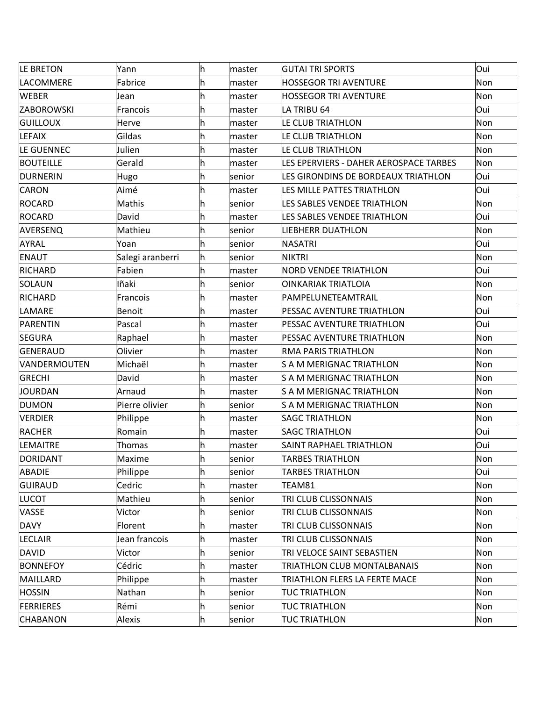| LE BRETON        | Yann             | h   | master | <b>GUTAI TRI SPORTS</b>                | Oui |
|------------------|------------------|-----|--------|----------------------------------------|-----|
| LACOMMERE        | Fabrice          | h   | master | <b>HOSSEGOR TRI AVENTURE</b>           | Non |
| <b>WEBER</b>     | Jean             | h   | master | <b>HOSSEGOR TRI AVENTURE</b>           | Non |
| ZABOROWSKI       | Francois         | h   | master | LA TRIBU 64                            | Oui |
| <b>GUILLOUX</b>  | Herve            | h   | master | LE CLUB TRIATHLON                      | Non |
| LEFAIX           | Gildas           | h   | master | LE CLUB TRIATHLON                      | Non |
| LE GUENNEC       | Julien           | h   | master | LE CLUB TRIATHLON                      | Non |
| <b>BOUTEILLE</b> | Gerald           | h   | master | LES EPERVIERS - DAHER AEROSPACE TARBES | Non |
| DURNERIN         | Hugo             | lh. | senior | LES GIRONDINS DE BORDEAUX TRIATHLON    | Oui |
| CARON            | Aimé             | lh. | master | LES MILLE PATTES TRIATHLON             | Oui |
| ROCARD           | Mathis           | h   | senior | LES SABLES VENDEE TRIATHLON            | Non |
| ROCARD           | David            | lh. | master | LES SABLES VENDEE TRIATHLON            | Oui |
| AVERSENQ         | Mathieu          | h   | senior | <b>LIEBHERR DUATHLON</b>               | Non |
| AYRAL            | Yoan             | lh. | senior | <b>NASATRI</b>                         | Oui |
| ENAUT            | Salegi aranberri | h   | senior | <b>NIKTRI</b>                          | Non |
| RICHARD          | Fabien           | h   | master | <b>NORD VENDEE TRIATHLON</b>           | Oui |
| SOLAUN           | Iñaki            | h   | senior | <b>OINKARIAK TRIATLOIA</b>             | Non |
| RICHARD          | Francois         | h   | master | PAMPELUNETEAMTRAIL                     | Non |
| LAMARE           | <b>Benoit</b>    | h   | master | PESSAC AVENTURE TRIATHLON              | Oui |
| PARENTIN         | Pascal           | h   | master | PESSAC AVENTURE TRIATHLON              | Oui |
| SEGURA           | Raphael          | h   | master | PESSAC AVENTURE TRIATHLON              | Non |
| GENERAUD         | Olivier          | h   | master | RMA PARIS TRIATHLON                    | Non |
| VANDERMOUTEN     | Michaël          | h   | master | S A M MERIGNAC TRIATHLON               | Non |
| GRECHI           | David            | h   | master | S A M MERIGNAC TRIATHLON               | Non |
| JOURDAN          | Arnaud           | lh. | master | <b>S A M MERIGNAC TRIATHLON</b>        | Non |
| DUMON            | Pierre olivier   | lh. | senior | S A M MERIGNAC TRIATHLON               | Non |
| VERDIER          | Philippe         | h   | master | <b>SAGC TRIATHLON</b>                  | Non |
| RACHER           | Romain           | h   | master | <b>SAGC TRIATHLON</b>                  | Oui |
| LEMAITRE         | Thomas           | lh. | master | <b>SAINT RAPHAEL TRIATHLON</b>         | Oui |
| DORIDANT         | Maxime           | h   | senior | <b>TARBES TRIATHLON</b>                | Non |
| ABADIE           | Philippe         | h   | senior | <b>TARBES TRIATHLON</b>                | Oui |
| GUIRAUD          | Cedric           | h   | master | TEAM81                                 | Non |
| LUCOT            | Mathieu          | h   | senior | TRI CLUB CLISSONNAIS                   | Non |
| VASSE            | Victor           | h   | senior | TRI CLUB CLISSONNAIS                   | Non |
| <b>DAVY</b>      | Florent          | h.  | master | TRI CLUB CLISSONNAIS                   | Non |
| <b>LECLAIR</b>   | Jean francois    | h   | master | TRI CLUB CLISSONNAIS                   | Non |
| DAVID            | Victor           | lh. | senior | TRI VELOCE SAINT SEBASTIEN             | Non |
| <b>BONNEFOY</b>  | Cédric           | h   | master | TRIATHLON CLUB MONTALBANAIS            | Non |
| MAILLARD         | Philippe         | h.  | master | TRIATHLON FLERS LA FERTE MACE          | Non |
| <b>HOSSIN</b>    | Nathan           | h   | senior | <b>TUC TRIATHLON</b>                   | Non |
| <b>FERRIERES</b> | Rémi             | h   | senior | <b>TUC TRIATHLON</b>                   | Non |
| <b>CHABANON</b>  | Alexis           | h   | senior | <b>TUC TRIATHLON</b>                   | Non |